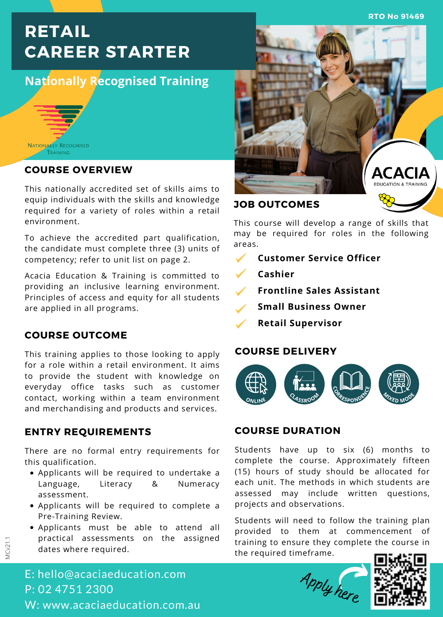**RTO No 91469**

# **RETAIL CAREER STARTER**

## **Nationally Recognised Training**



#### **COURSE OVERVIEW**

This nationally accredited set of skills aims to equip individuals with the skills and knowledge required for a variety of roles within a retail environment.

To achieve the accredited part qualification, the candidate must complete three (3) units of competency; refer to unit list on page 2.

Acacia Education & Training is committed to providing an inclusive learning environment. Principles of access and equity for all students are applied in all programs.

#### **COURSE OUTCOME**

This training applies to those looking to apply for a role within a retail environment. It aims to provide the student with knowledge on everyday office tasks such as customer contact, working within a team environment and merchandising and products and services.

#### **ENTRY REQUIREMENTS**

There are no formal entry requirements for this qualification.

- Applicants will be required to undertake a Language, Literacy & Numeracy assessment.
- Applicants will be required to complete a Pre-Training Review.
- Applicants must be able to attend all practical assessments on the assigned dates where required.



This course will develop a range of skills that may be required for roles in the following areas.

- $\checkmark$ **Customer Service Officer**
	- **Cashier**
- **Frontline Sales Assistant**
- **Small Business Owner**
- **Retail Supervisor**

#### **COURSE DELIVERY**



#### **COURSE DURATION**

Students have up to six (6) months to complete the course. Approximately fifteen (15) hours of study should be allocated for each unit. The methods in which students are assessed may include written questions, projects and observations.

Students will need to follow the training plan provided to them at commencement of training to ensure they complete the course in the required timeframe.

<sup>A</sup>ppl<sup>y</sup> <sup>h</sup>er<sup>e</sup>



E: hello@acaciaeducation.com P: 02 4751 2300 W: www.acaciaeducation.com.au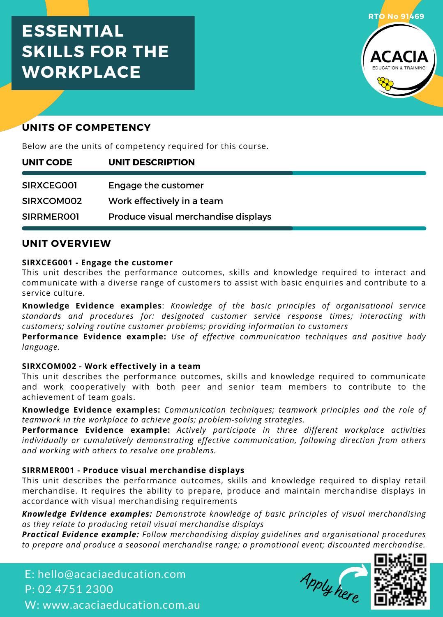## **ESSENTIAL SKILLS FOR THE WORKPLACE**



## **UNITS OF COMPETENCY**

Below are the units of competency required for this course.

| UNIT CODE  | UNIT DESCRIPTION                    |
|------------|-------------------------------------|
|            |                                     |
| SIRXCEG001 | Engage the customer                 |
| SIRXCOM002 | Work effectively in a team          |
| SIRRMEROOI | Produce visual merchandise displays |

#### **UNIT OVERVIEW**

#### **SIRXCEG001 - Engage the customer**

This unit describes the performance outcomes, skills and knowledge required to interact and communicate with a diverse range of customers to assist with basic enquiries and contribute to a service culture.

**Knowledge Evidence examples**: *Knowledge of the basic principles of organisational service standards and procedures for: designated customer service response times; interacting with customers; solving routine customer problems; providing information to customers*

**Performance Evidence example:** *Use of effective communication techniques and positive body language.*

#### **SIRXCOM002 - Work effectively in a team**

This unit describes the performance outcomes, skills and knowledge required to communicate and work cooperatively with both peer and senior team members to contribute to the achievement of team goals.

**Knowledge Evidence examples:** *Communication techniques; teamwork principles and the role of teamwork in the workplace to achieve goals; problem-solving strategies.*

**Performance Evidence example:** *Actively participate in three different workplace activities individually or cumulatively demonstrating effective communication, following direction from others and working with others to resolve one problems.*

#### **SIRRMER001 - Produce visual merchandise displays**

This unit describes the performance outcomes, skills and knowledge required to display retail merchandise. It requires the ability to prepare, produce and maintain merchandise displays in accordance with visual merchandising requirements

*Knowledge Evidence examples: Demonstrate knowledge of basic principles of visual merchandising as they relate to producing retail visual merchandise displays*

*Practical Evidence example: Follow merchandising display guidelines and organisational procedures to prepare and produce a seasonal merchandise range; a promotional event; discounted merchandise.*

E: hello@acaciaeducation.com P: 02 4751 2300 W: www.acaciaeducation.com.au